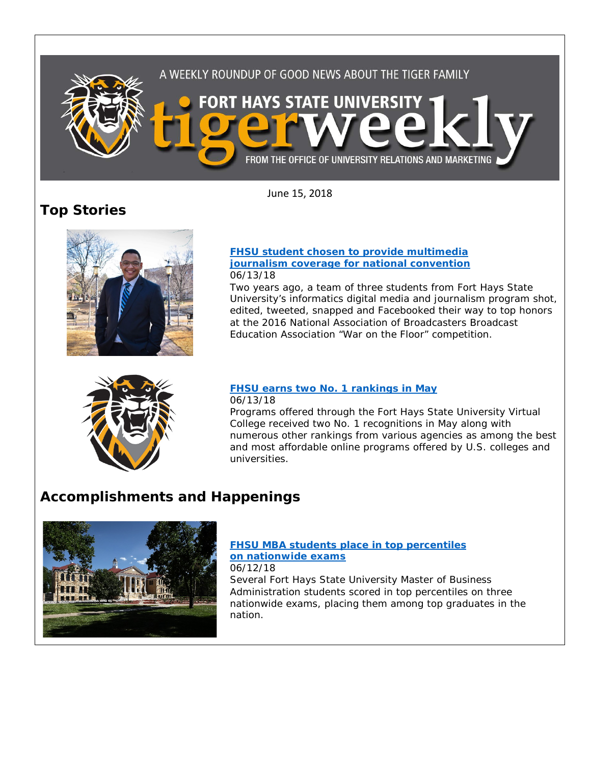

June 15, 2018

# **Top Stories**



### **[FHSU student chosen to provide multimedia](https://www.fhsu.edu/news/2018/06/fhsu-student-chosen-to-provide-multimedia-journalism-coverage-for-national-convention)  [journalism coverage for national convention](https://www.fhsu.edu/news/2018/06/fhsu-student-chosen-to-provide-multimedia-journalism-coverage-for-national-convention)** 06/13/18

Two years ago, a team of three students from Fort Hays State University's informatics digital media and journalism program shot, edited, tweeted, snapped and Facebooked their way to top honors at the 2016 National Association of Broadcasters Broadcast Education Association "War on the Floor" competition.



## **[FHSU earns two No. 1 rankings in May](https://www.fhsu.edu/news/2018/06/fhsu-earns-two-no.-1-rankings-in-may)** 06/13/18

Programs offered through the Fort Hays State University Virtual College received two No. 1 recognitions in May along with numerous other rankings from various agencies as among the best and most affordable online programs offered by U.S. colleges and universities.

# **Accomplishments and Happenings**



## **[FHSU MBA students place in top percentiles](https://www.fhsu.edu/news/2018/06/fhsu-mba-students-place-in-top-percentiles-on-nationwide-exams)  [on nationwide exams](https://www.fhsu.edu/news/2018/06/fhsu-mba-students-place-in-top-percentiles-on-nationwide-exams)**

06/12/18

Several Fort Hays State University Master of Business Administration students scored in top percentiles on three nationwide exams, placing them among top graduates in the nation.